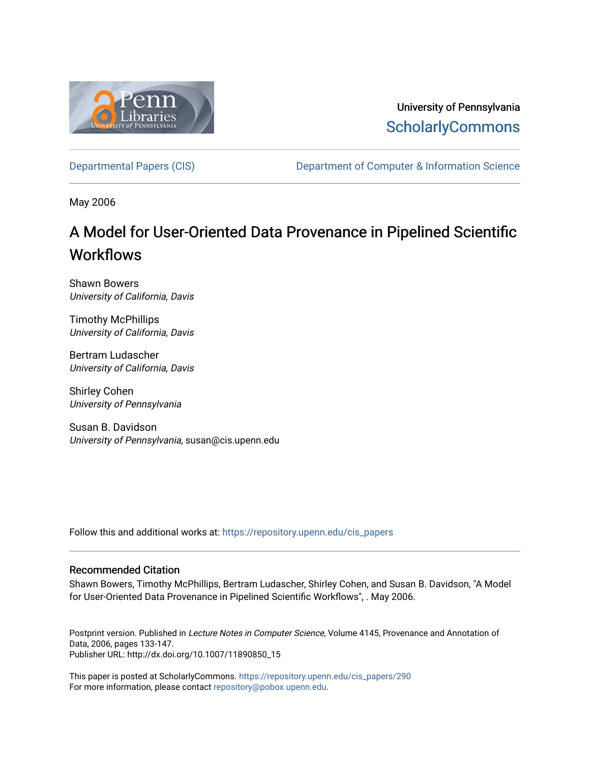

University of Pennsylvania **ScholarlyCommons** 

[Departmental Papers \(CIS\)](https://repository.upenn.edu/cis_papers) Department of Computer & Information Science

May 2006

# A Model for User-Oriented Data Provenance in Pipelined Scientific **Workflows**

Shawn Bowers University of California, Davis

Timothy McPhillips University of California, Davis

Bertram Ludascher University of California, Davis

Shirley Cohen University of Pennsylvania

Susan B. Davidson University of Pennsylvania, susan@cis.upenn.edu

Follow this and additional works at: [https://repository.upenn.edu/cis\\_papers](https://repository.upenn.edu/cis_papers?utm_source=repository.upenn.edu%2Fcis_papers%2F290&utm_medium=PDF&utm_campaign=PDFCoverPages)

### Recommended Citation

Shawn Bowers, Timothy McPhillips, Bertram Ludascher, Shirley Cohen, and Susan B. Davidson, "A Model for User-Oriented Data Provenance in Pipelined Scientific Workflows", . May 2006.

Postprint version. Published in Lecture Notes in Computer Science, Volume 4145, Provenance and Annotation of Data, 2006, pages 133-147. Publisher URL: http://dx.doi.org/10.1007/11890850\_15

This paper is posted at ScholarlyCommons. [https://repository.upenn.edu/cis\\_papers/290](https://repository.upenn.edu/cis_papers/290)  For more information, please contact [repository@pobox.upenn.edu.](mailto:repository@pobox.upenn.edu)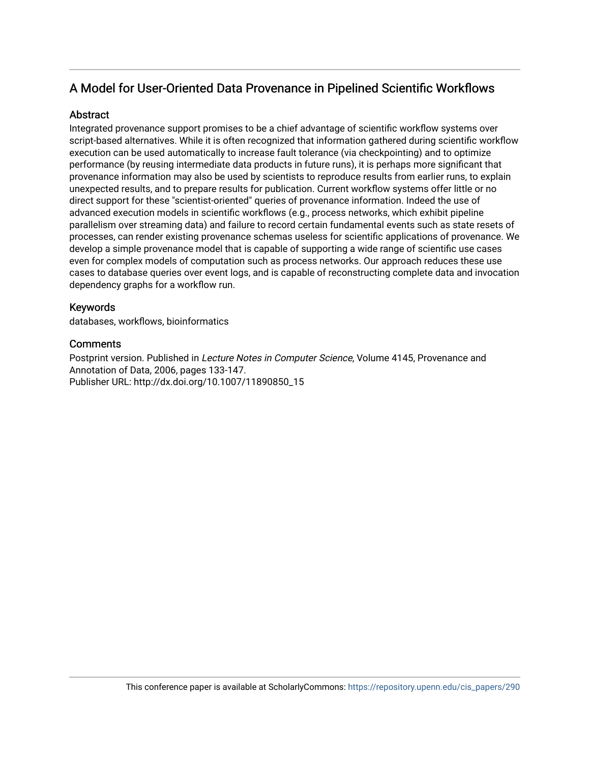## A Model for User-Oriented Data Provenance in Pipelined Scientific Workflows

## **Abstract**

Integrated provenance support promises to be a chief advantage of scientific workflow systems over script-based alternatives. While it is often recognized that information gathered during scientific workflow execution can be used automatically to increase fault tolerance (via checkpointing) and to optimize performance (by reusing intermediate data products in future runs), it is perhaps more significant that provenance information may also be used by scientists to reproduce results from earlier runs, to explain unexpected results, and to prepare results for publication. Current workflow systems offer little or no direct support for these "scientist-oriented" queries of provenance information. Indeed the use of advanced execution models in scientific workflows (e.g., process networks, which exhibit pipeline parallelism over streaming data) and failure to record certain fundamental events such as state resets of processes, can render existing provenance schemas useless for scientific applications of provenance. We develop a simple provenance model that is capable of supporting a wide range of scientific use cases even for complex models of computation such as process networks. Our approach reduces these use cases to database queries over event logs, and is capable of reconstructing complete data and invocation dependency graphs for a workflow run.

### Keywords

databases, workflows, bioinformatics

## **Comments**

Postprint version. Published in Lecture Notes in Computer Science, Volume 4145, Provenance and Annotation of Data, 2006, pages 133-147. Publisher URL: http://dx.doi.org/10.1007/11890850\_15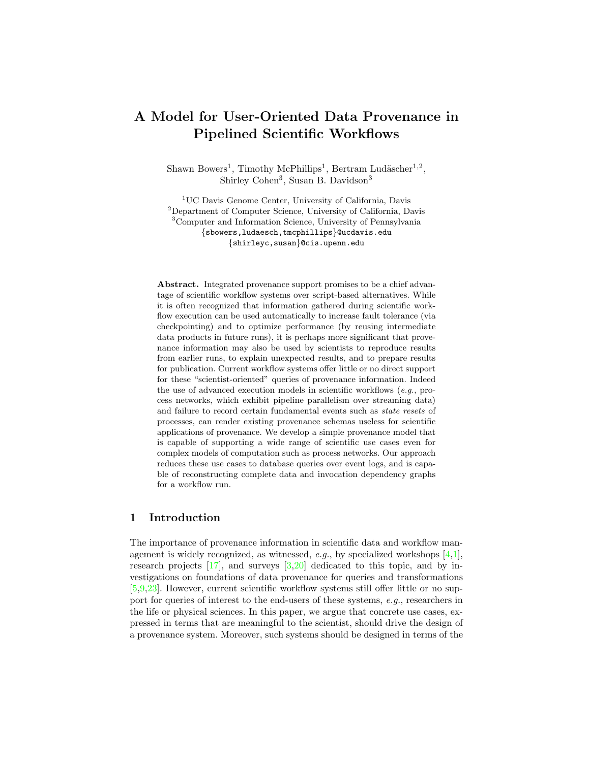## A Model for User-Oriented Data Provenance in Pipelined Scientific Workflows

Shawn Bowers<sup>1</sup>, Timothy McPhillips<sup>1</sup>, Bertram Ludäscher<sup>1,2</sup>, Shirley Cohen<sup>3</sup>, Susan B. Davidson<sup>3</sup>

<sup>1</sup>UC Davis Genome Center, University of California, Davis <sup>2</sup>Department of Computer Science, University of California, Davis <sup>3</sup>Computer and Information Science, University of Pennsylvania {sbowers,ludaesch,tmcphillips}@ucdavis.edu {shirleyc,susan}@cis.upenn.edu

Abstract. Integrated provenance support promises to be a chief advantage of scientific workflow systems over script-based alternatives. While it is often recognized that information gathered during scientific workflow execution can be used automatically to increase fault tolerance (via checkpointing) and to optimize performance (by reusing intermediate data products in future runs), it is perhaps more significant that provenance information may also be used by scientists to reproduce results from earlier runs, to explain unexpected results, and to prepare results for publication. Current workflow systems offer little or no direct support for these "scientist-oriented" queries of provenance information. Indeed the use of advanced execution models in scientific workflows (e.g., process networks, which exhibit pipeline parallelism over streaming data) and failure to record certain fundamental events such as state resets of processes, can render existing provenance schemas useless for scientific applications of provenance. We develop a simple provenance model that is capable of supporting a wide range of scientific use cases even for complex models of computation such as process networks. Our approach reduces these use cases to database queries over event logs, and is capable of reconstructing complete data and invocation dependency graphs for a workflow run.

#### 1 Introduction

The importance of provenance information in scientific data and workflow management is widely recognized, as witnessed,  $e.g.,$  by specialized workshops  $[4,1]$  $[4,1]$ , research projects  $[17]$ , and surveys  $[3,20]$  $[3,20]$  dedicated to this topic, and by investigations on foundations of data provenance for queries and transformations [\[5,](#page-15-3)[9](#page-15-4)[,23\]](#page-16-2). However, current scientific workflow systems still offer little or no support for queries of interest to the end-users of these systems, e.g., researchers in the life or physical sciences. In this paper, we argue that concrete use cases, expressed in terms that are meaningful to the scientist, should drive the design of a provenance system. Moreover, such systems should be designed in terms of the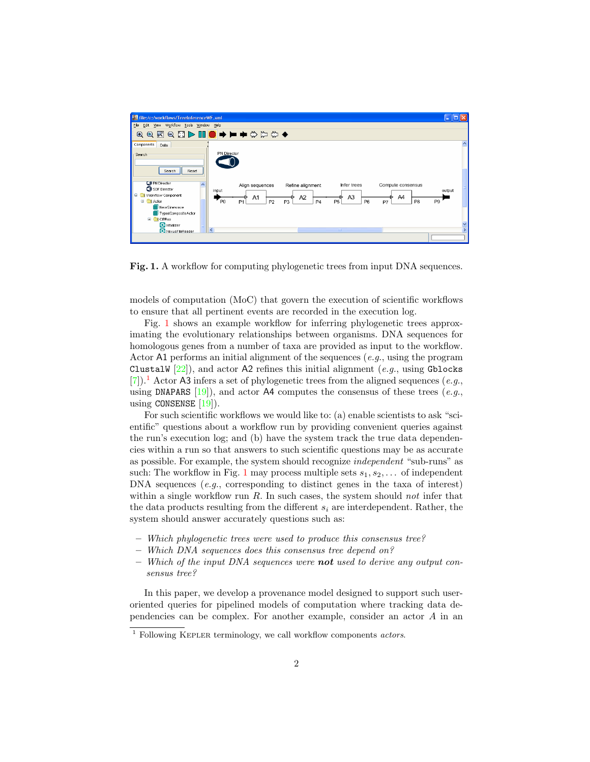

<span id="page-3-0"></span>Fig. 1. A workflow for computing phylogenetic trees from input DNA sequences.

models of computation (MoC) that govern the execution of scientific workflows to ensure that all pertinent events are recorded in the execution log.

Fig. [1](#page-3-0) shows an example workflow for inferring phylogenetic trees approximating the evolutionary relationships between organisms. DNA sequences for homologous genes from a number of taxa are provided as input to the workflow. Actor A1 performs an initial alignment of the sequences  $(e,q)$ , using the program ClustalW  $[22]$ ), and actor A2 refines this initial alignment (e.g., using Gblocks [\[7\]](#page-15-5)).<sup>[1](#page-3-1)</sup> Actor A3 infers a set of phylogenetic trees from the aligned sequences (e.g., using DNAPARS  $[19]$ , and actor A4 computes the consensus of these trees (e.g., using CONSENSE  $[19]$ ).

For such scientific workflows we would like to: (a) enable scientists to ask "scientific" questions about a workflow run by providing convenient queries against the run's execution log; and (b) have the system track the true data dependencies within a run so that answers to such scientific questions may be as accurate as possible. For example, the system should recognize independent "sub-runs" as such: The workflow in Fig. [1](#page-3-0) may process multiple sets  $s_1, s_2, \ldots$  of independent DNA sequences (e.g., corresponding to distinct genes in the taxa of interest) within a single workflow run R. In such cases, the system should *not* infer that the data products resulting from the different  $s_i$  are interdependent. Rather, the system should answer accurately questions such as:

- Which phylogenetic trees were used to produce this consensus tree?
- Which DNA sequences does this consensus tree depend on?
- Which of the input DNA sequences were not used to derive any output consensus tree?

In this paper, we develop a provenance model designed to support such useroriented queries for pipelined models of computation where tracking data dependencies can be complex. For another example, consider an actor A in an

<span id="page-3-1"></span> $1$  Following KEPLER terminology, we call workflow components actors.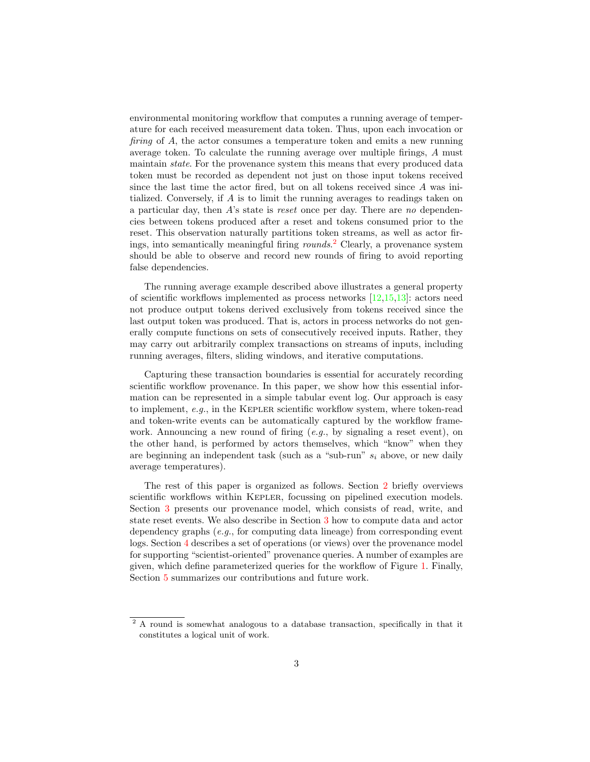environmental monitoring workflow that computes a running average of temperature for each received measurement data token. Thus, upon each invocation or firing of A, the actor consumes a temperature token and emits a new running average token. To calculate the running average over multiple firings, A must maintain state. For the provenance system this means that every produced data token must be recorded as dependent not just on those input tokens received since the last time the actor fired, but on all tokens received since  $A$  was initialized. Conversely, if A is to limit the running averages to readings taken on a particular day, then A's state is reset once per day. There are no dependencies between tokens produced after a reset and tokens consumed prior to the reset. This observation naturally partitions token streams, as well as actor firings, into semantically meaningful firing *rounds*.<sup>[2](#page-4-0)</sup> Clearly, a provenance system should be able to observe and record new rounds of firing to avoid reporting false dependencies.

The running average example described above illustrates a general property of scientific workflows implemented as process networks [\[12,](#page-16-5)[15,](#page-16-6)[13\]](#page-16-7): actors need not produce output tokens derived exclusively from tokens received since the last output token was produced. That is, actors in process networks do not generally compute functions on sets of consecutively received inputs. Rather, they may carry out arbitrarily complex transactions on streams of inputs, including running averages, filters, sliding windows, and iterative computations.

Capturing these transaction boundaries is essential for accurately recording scientific workflow provenance. In this paper, we show how this essential information can be represented in a simple tabular event log. Our approach is easy to implement, e.g., in the Kepler scientific workflow system, where token-read and token-write events can be automatically captured by the workflow framework. Announcing a new round of firing  $(e.g.,\)$  by signaling a reset event), on the other hand, is performed by actors themselves, which "know" when they are beginning an independent task (such as a "sub-run"  $s_i$  above, or new daily average temperatures).

The rest of this paper is organized as follows. Section [2](#page-5-0) briefly overviews scientific workflows within KEPLER, focussing on pipelined execution models. Section [3](#page-6-0) presents our provenance model, which consists of read, write, and state reset events. We also describe in Section [3](#page-6-0) how to compute data and actor dependency graphs  $(e,q)$ , for computing data lineage) from corresponding event logs. Section [4](#page-11-0) describes a set of operations (or views) over the provenance model for supporting "scientist-oriented" provenance queries. A number of examples are given, which define parameterized queries for the workflow of Figure [1.](#page-3-0) Finally, Section [5](#page-14-0) summarizes our contributions and future work.

<span id="page-4-0"></span><sup>&</sup>lt;sup>2</sup> A round is somewhat analogous to a database transaction, specifically in that it constitutes a logical unit of work.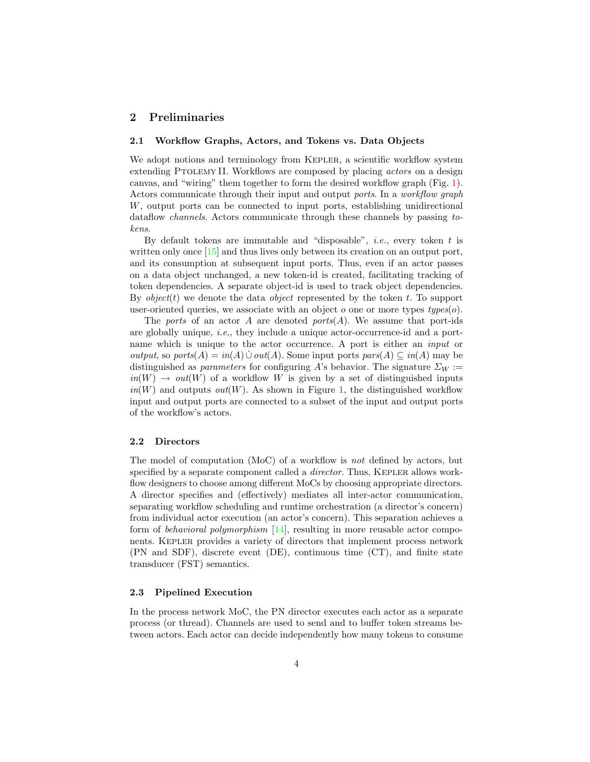#### <span id="page-5-0"></span>2 Preliminaries

#### 2.1 Workflow Graphs, Actors, and Tokens vs. Data Objects

We adopt notions and terminology from KEPLER, a scientific workflow system extending PTOLEMY II. Workflows are composed by placing *actors* on a design canvas, and "wiring" them together to form the desired workflow graph (Fig. [1\)](#page-3-0). Actors communicate through their input and output ports. In a workflow graph W, output ports can be connected to input ports, establishing unidirectional dataflow *channels*. Actors communicate through these channels by passing tokens.

By default tokens are immutable and "disposable", *i.e.*, every token  $t$  is written only once [\[15\]](#page-16-6) and thus lives only between its creation on an output port, and its consumption at subsequent input ports. Thus, even if an actor passes on a data object unchanged, a new token-id is created, facilitating tracking of token dependencies. A separate object-id is used to track object dependencies. By object(t) we denote the data object represented by the token t. To support user-oriented queries, we associate with an object  $o$  one or more types  $type(s)$ .

The *ports* of an actor A are denoted *ports* $(A)$ . We assume that port-ids are globally unique, *i.e.*, they include a unique actor-occurrence-id and a portname which is unique to the actor occurrence. A port is either an input or *output*, so ports $(A) = in(A) \cup out(A)$ . Some input ports pars $(A) \subseteq in(A)$  may be distinguished as *parameters* for configuring A's behavior. The signature  $\Sigma_W$  :=  $in(W) \rightarrow out(W)$  of a workflow W is given by a set of distinguished inputs  $in(W)$  and outputs out  $(W)$ . As shown in Figure [1,](#page-3-0) the distinguished workflow input and output ports are connected to a subset of the input and output ports of the workflow's actors.

#### 2.2 Directors

The model of computation (MoC) of a workflow is not defined by actors, but specified by a separate component called a *director*. Thus, KEPLER allows workflow designers to choose among different MoCs by choosing appropriate directors. A director specifies and (effectively) mediates all inter-actor communication, separating workflow scheduling and runtime orchestration (a director's concern) from individual actor execution (an actor's concern). This separation achieves a form of *behavioral polymorphism*  $[14]$ , resulting in more reusable actor components. Kepler provides a variety of directors that implement process network (PN and SDF), discrete event (DE), continuous time (CT), and finite state transducer (FST) semantics.

#### 2.3 Pipelined Execution

In the process network MoC, the PN director executes each actor as a separate process (or thread). Channels are used to send and to buffer token streams between actors. Each actor can decide independently how many tokens to consume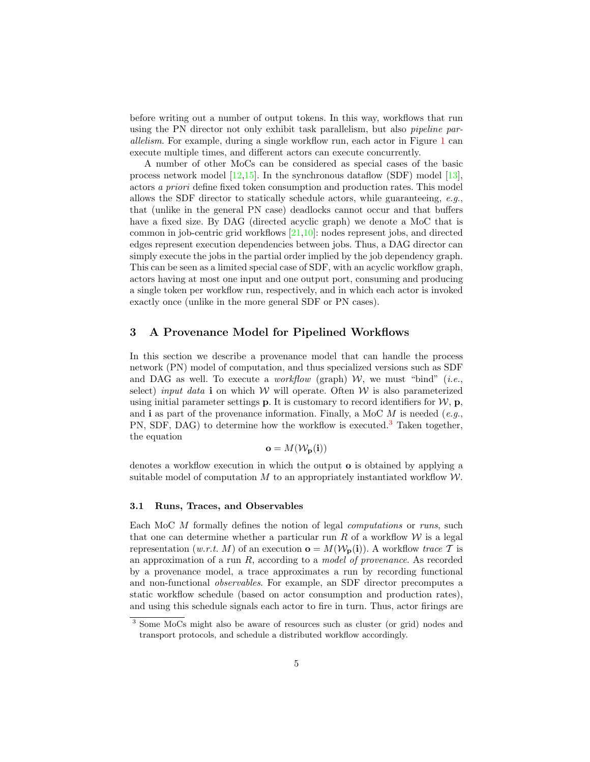before writing out a number of output tokens. In this way, workflows that run using the PN director not only exhibit task parallelism, but also pipeline parallelism. For example, during a single workflow run, each actor in Figure [1](#page-3-0) can execute multiple times, and different actors can execute concurrently.

A number of other MoCs can be considered as special cases of the basic process network model  $[12,15]$  $[12,15]$ . In the synchronous dataflow (SDF) model  $[13]$ , actors a priori define fixed token consumption and production rates. This model allows the SDF director to statically schedule actors, while guaranteeing,  $e.g.,$ that (unlike in the general PN case) deadlocks cannot occur and that buffers have a fixed size. By DAG (directed acyclic graph) we denote a MoC that is common in job-centric grid workflows [\[21](#page-16-9)[,10\]](#page-15-6): nodes represent jobs, and directed edges represent execution dependencies between jobs. Thus, a DAG director can simply execute the jobs in the partial order implied by the job dependency graph. This can be seen as a limited special case of SDF, with an acyclic workflow graph, actors having at most one input and one output port, consuming and producing a single token per workflow run, respectively, and in which each actor is invoked exactly once (unlike in the more general SDF or PN cases).

#### <span id="page-6-0"></span>3 A Provenance Model for Pipelined Workflows

In this section we describe a provenance model that can handle the process network (PN) model of computation, and thus specialized versions such as SDF and DAG as well. To execute a *workflow* (graph)  $W$ , we must "bind" (i.e., select) input data i on which W will operate. Often W is also parameterized using initial parameter settings  $\bf{p}$ . It is customary to record identifiers for  $W$ ,  $\bf{p}$ , and i as part of the provenance information. Finally, a MoC  $M$  is needed  $(e.g.,)$ PN, SDF, DAG) to determine how the workflow is executed.<sup>[3](#page-6-1)</sup> Taken together, the equation

$$
\mathbf{o} = M(\mathcal{W}_\mathbf{p}(\mathbf{i}))
$$

denotes a workflow execution in which the output o is obtained by applying a suitable model of computation  $M$  to an appropriately instantiated workflow  $W$ .

#### 3.1 Runs, Traces, and Observables

Each MoC M formally defines the notion of legal *computations* or runs, such that one can determine whether a particular run R of a workflow  $W$  is a legal representation (w.r.t. M) of an execution  $\mathbf{o} = M(\mathcal{W}_{\mathbf{p}}(i))$ . A workflow trace T is an approximation of a run  $R$ , according to a *model of provenance*. As recorded by a provenance model, a trace approximates a run by recording functional and non-functional observables. For example, an SDF director precomputes a static workflow schedule (based on actor consumption and production rates), and using this schedule signals each actor to fire in turn. Thus, actor firings are

<span id="page-6-1"></span><sup>3</sup> Some MoCs might also be aware of resources such as cluster (or grid) nodes and transport protocols, and schedule a distributed workflow accordingly.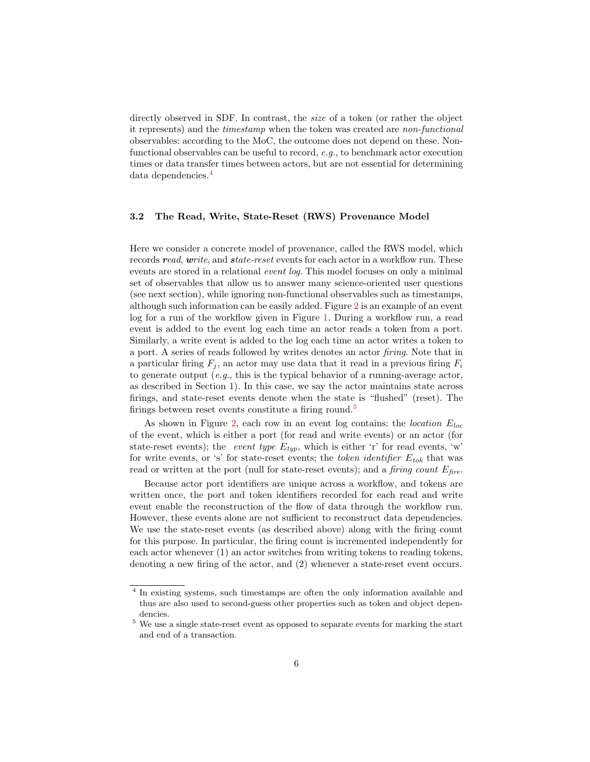directly observed in SDF. In contrast, the *size* of a token (or rather the object it represents) and the timestamp when the token was created are non-functional observables: according to the MoC, the outcome does not depend on these. Nonfunctional observables can be useful to record, e.g., to benchmark actor execution times or data transfer times between actors, but are not essential for determining data dependencies.[4](#page-7-0)

#### 3.2 The Read, Write, State-Reset (RWS) Provenance Model

Here we consider a concrete model of provenance, called the RWS model, which records read, write, and state-reset events for each actor in a workflow run. These events are stored in a relational event log. This model focuses on only a minimal set of observables that allow us to answer many science-oriented user questions (see next section), while ignoring non-functional observables such as timestamps, although such information can be easily added. Figure [2](#page-8-0) is an example of an event log for a run of the workflow given in Figure [1.](#page-3-0) During a workflow run, a read event is added to the event log each time an actor reads a token from a port. Similarly, a write event is added to the log each time an actor writes a token to a port. A series of reads followed by writes denotes an actor firing. Note that in a particular firing  $F_j$ , an actor may use data that it read in a previous firing  $F_i$ to generate output  $(e.g., this is the typical behavior of a running-average actor,$ as described in Section 1). In this case, we say the actor maintains state across firings, and state-reset events denote when the state is "flushed" (reset). The firings between reset events constitute a firing round.<sup>[5](#page-7-1)</sup>

As shown in Figure [2,](#page-8-0) each row in an event log contains: the *location*  $E_{loc}$ of the event, which is either a port (for read and write events) or an actor (for state-reset events); the *event type*  $E_{typ}$ , which is either 'r' for read events, 'w' for write events, or 's' for state-reset events; the token identifier  $E_{tok}$  that was read or written at the port (null for state-reset events); and a firing count  $E_{\text{fire}}$ .

Because actor port identifiers are unique across a workflow, and tokens are written once, the port and token identifiers recorded for each read and write event enable the reconstruction of the flow of data through the workflow run. However, these events alone are not sufficient to reconstruct data dependencies. We use the state-reset events (as described above) along with the firing count for this purpose. In particular, the firing count is incremented independently for each actor whenever (1) an actor switches from writing tokens to reading tokens, denoting a new firing of the actor, and (2) whenever a state-reset event occurs.

<span id="page-7-0"></span><sup>&</sup>lt;sup>4</sup> In existing systems, such timestamps are often the only information available and thus are also used to second-guess other properties such as token and object dependencies.

<span id="page-7-1"></span> $^5$  We use a single state-reset event as opposed to separate events for marking the start and end of a transaction.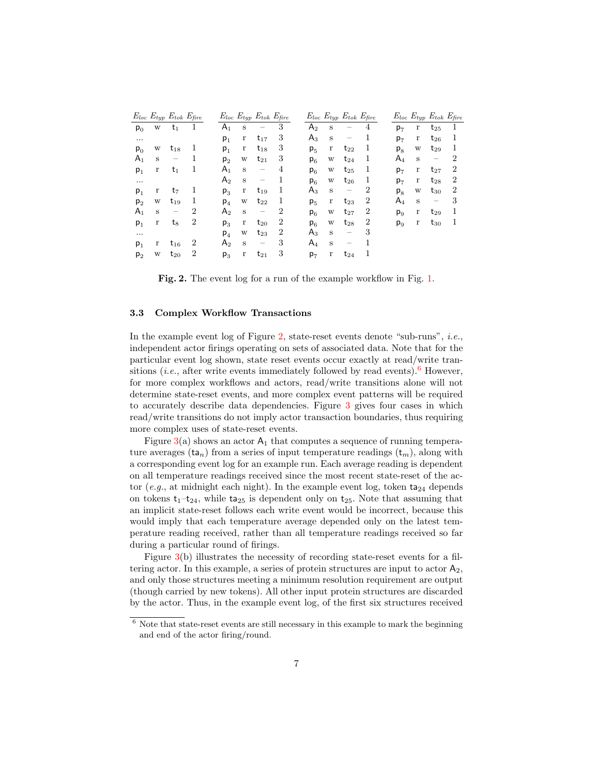|                |         |                                 | $E_{loc}$ $E_{typ}$ $E_{tok}$ $E_{fire}$ |                |   |                          | $E_{loc}$ $E_{typ}$ $E_{tok}$ $E_{fire}$ |                |   | $E_{loc}$ $E_{typ}$ $E_{tok}$ $E_{fire}$ |   |         | $E_{loc}$ $E_{typ}$ $E_{tok}$ $E_{fire}$ |                                 |                |
|----------------|---------|---------------------------------|------------------------------------------|----------------|---|--------------------------|------------------------------------------|----------------|---|------------------------------------------|---|---------|------------------------------------------|---------------------------------|----------------|
| $P_0$          | W       | $t_1$                           | 1                                        | A <sub>1</sub> | S | $\overline{\phantom{m}}$ | 3                                        | A <sub>2</sub> | S | $\overline{\phantom{m}}$                 | 4 | $p_7$   | $\bf r$                                  | $t_{25}$                        | -1             |
|                |         |                                 |                                          | P <sub>1</sub> | r | $t_{17}$                 | 3                                        | $A_3$          | S | $\qquad \qquad -$                        | 1 | $p_7$   | r                                        | $t_{26}$                        | -1             |
| P <sub>0</sub> | W       | $t_{18}$                        | 1                                        | P <sub>1</sub> | r | $t_{18}$                 | 3                                        | $p_{5}$        | r | $t_{22}$                                 | 1 | $p_8$   | W                                        | $t_{29}$                        | 1              |
| A <sub>1</sub> | S       | $\hspace{0.1mm}-\hspace{0.1mm}$ | 1                                        | $p_{2}$        | W | $t_{21}$                 | 3                                        | $p_6$          | W | $t_{24}$                                 | 1 | $A_4$   | S                                        | $\hspace{0.1mm}$                | $\overline{2}$ |
| P <sub>1</sub> | r       | $t_1$                           | 1                                        | A <sub>1</sub> | S | $\overline{\phantom{m}}$ | 4                                        | $p_{6}$        | W | $t_{25}$                                 | 1 | $p_7$   | r                                        | $t_{27}$                        | 2              |
|                |         |                                 |                                          | A <sub>2</sub> | S | $\overline{\phantom{m}}$ | 1                                        | $p_{6}$        | W | $t_{26}$                                 | 1 | $p_7$   | r                                        | $t_{28}$                        | $\overline{2}$ |
| P <sub>1</sub> | r       | t7                              | 1                                        | $p_3$          | r | $t_{19}$                 | 1                                        | $A_3$          | S | $\overline{\phantom{m}}$                 | 2 | $p_8$   | W                                        | $t_{30}$                        | $\overline{2}$ |
| $p_2$          | W       | $t_{19}$                        | 1                                        | $P_4$          | W | $t_{22}$                 | 1                                        | $p_{5}$        | r | $t_{23}$                                 | 2 | $A_4$   | S                                        | $\hspace{0.1mm}-\hspace{0.1mm}$ | 3              |
| A <sub>1</sub> | S       | $\overline{\phantom{m}}$        | 2                                        | A <sub>2</sub> | S | $\overline{\phantom{m}}$ | 2                                        | $\mathsf{p}_6$ | W | $t_{27}$                                 | 2 | $p_{q}$ | r                                        | $t_{29}$                        | 1              |
| P <sub>1</sub> | $\bf r$ | t8                              | $\overline{2}$                           | $p_3$          | r | $t_{20}$                 | 2                                        | p <sub>6</sub> | W | $t_{28}$                                 | 2 | $p_{9}$ | r                                        | $t_{30}$                        | 1              |
|                |         |                                 |                                          | $P_4$          | W | $t_{23}$                 | 2                                        | $A_3$          | S | $\hspace{0.1mm}-\hspace{0.1mm}$          | 3 |         |                                          |                                 |                |
| P <sub>1</sub> | r       | $t_{16}$                        | 2                                        | A <sub>2</sub> | S | $\overline{\phantom{m}}$ | 3                                        | $A_4$          | S |                                          |   |         |                                          |                                 |                |
| $p_2$          | W       | $t_{20}$                        | 2                                        | $p_3$          | r | $t_{21}$                 | 3                                        | $p_7$          | r | $t_{24}$                                 | 1 |         |                                          |                                 |                |

<span id="page-8-0"></span>Fig. 2. The event log for a run of the example workflow in Fig. [1.](#page-3-0)

#### 3.3 Complex Workflow Transactions

In the example event log of Figure [2,](#page-8-0) state-reset events denote "sub-runs", i.e., independent actor firings operating on sets of associated data. Note that for the particular event log shown, state reset events occur exactly at read/write transitions (*i.e.*, after write events immediately followed by read events).<sup>[6](#page-8-1)</sup> However, for more complex workflows and actors, read/write transitions alone will not determine state-reset events, and more complex event patterns will be required to accurately describe data dependencies. Figure [3](#page-9-0) gives four cases in which read/write transitions do not imply actor transaction boundaries, thus requiring more complex uses of state-reset events.

Figure  $3(a)$  $3(a)$  shows an actor  $A_1$  that computes a sequence of running temperature averages ( $ta_n$ ) from a series of input temperature readings  $(t_m)$ , along with a corresponding event log for an example run. Each average reading is dependent on all temperature readings received since the most recent state-reset of the actor (e.g., at midnight each night). In the example event log, token  $ta_{24}$  depends on tokens  $t_1-t_{24}$ , while  $ta_{25}$  is dependent only on  $t_{25}$ . Note that assuming that an implicit state-reset follows each write event would be incorrect, because this would imply that each temperature average depended only on the latest temperature reading received, rather than all temperature readings received so far during a particular round of firings.

Figure [3\(](#page-9-0)b) illustrates the necessity of recording state-reset events for a filtering actor. In this example, a series of protein structures are input to actor  $A_2$ , and only those structures meeting a minimum resolution requirement are output (though carried by new tokens). All other input protein structures are discarded by the actor. Thus, in the example event log, of the first six structures received

<span id="page-8-1"></span> $6$  Note that state-reset events are still necessary in this example to mark the beginning and end of the actor firing/round.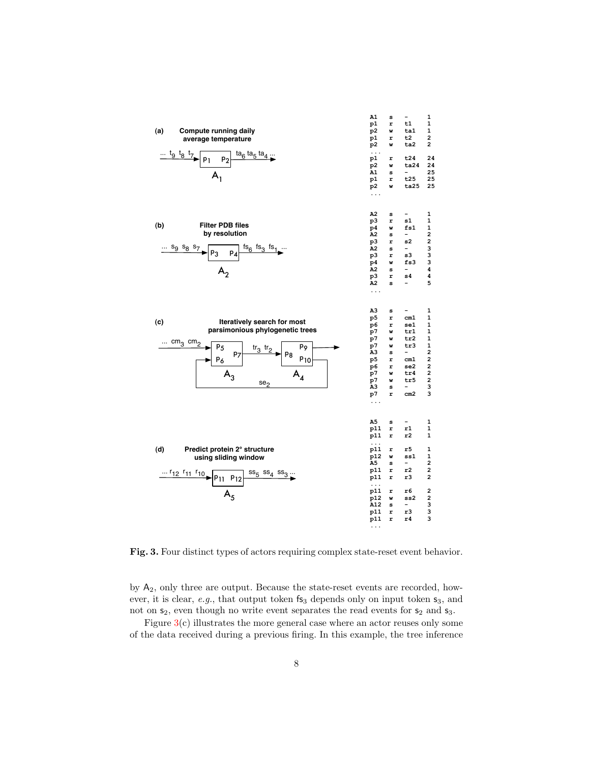

<span id="page-9-0"></span>Fig. 3. Four distinct types of actors requiring complex state-reset event behavior.

by A2, only three are output. Because the state-reset events are recorded, however, it is clear, e.g., that output token  $fs_3$  depends only on input token  $s_3$ , and not on  $s_2$ , even though no write event separates the read events for  $s_2$  and  $s_3$ .

Figure [3\(](#page-9-0)c) illustrates the more general case where an actor reuses only some of the data received during a previous firing. In this example, the tree inference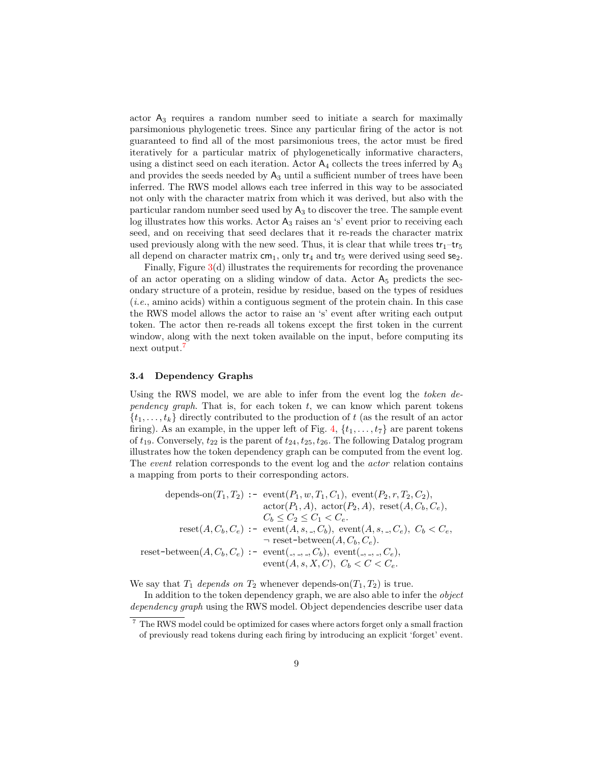actor  $A_3$  requires a random number seed to initiate a search for maximally parsimonious phylogenetic trees. Since any particular firing of the actor is not guaranteed to find all of the most parsimonious trees, the actor must be fired iteratively for a particular matrix of phylogenetically informative characters, using a distinct seed on each iteration. Actor  $A_4$  collects the trees inferred by  $A_3$ and provides the seeds needed by  $A_3$  until a sufficient number of trees have been inferred. The RWS model allows each tree inferred in this way to be associated not only with the character matrix from which it was derived, but also with the particular random number seed used by  $A_3$  to discover the tree. The sample event log illustrates how this works. Actor  $A_3$  raises an 's' event prior to receiving each seed, and on receiving that seed declares that it re-reads the character matrix used previously along with the new seed. Thus, it is clear that while trees  $tr_1-tr_5$ all depend on character matrix  $cm_1$ , only  $tr_4$  and  $tr_5$  were derived using seed se<sub>2</sub>.

Finally, Figure [3\(](#page-9-0)d) illustrates the requirements for recording the provenance of an actor operating on a sliding window of data. Actor  $A_5$  predicts the secondary structure of a protein, residue by residue, based on the types of residues (i.e., amino acids) within a contiguous segment of the protein chain. In this case the RWS model allows the actor to raise an 's' event after writing each output token. The actor then re-reads all tokens except the first token in the current window, along with the next token available on the input, before computing its next output.<sup>[7](#page-10-0)</sup>

#### 3.4 Dependency Graphs

Using the RWS model, we are able to infer from the event log the token dependency graph. That is, for each token t, we can know which parent tokens  $\{t_1, \ldots, t_k\}$  directly contributed to the production of t (as the result of an actor firing). As an example, in the upper left of Fig. [4,](#page-11-1)  $\{t_1, \ldots, t_7\}$  are parent tokens of  $t_{19}$ . Conversely,  $t_{22}$  is the parent of  $t_{24}$ ,  $t_{25}$ ,  $t_{26}$ . The following Datalog program illustrates how the token dependency graph can be computed from the event log. The *event* relation corresponds to the event log and the *actor* relation contains a mapping from ports to their corresponding actors.

depends-on $(T_1, T_2)$  :- event $(P_1, w, T_1, C_1)$ , event $(P_2, r, T_2, C_2)$ ,  $\text{actor}(P_1, A)$ ,  $\text{actor}(P_2, A)$ ,  $\text{reset}(A, C_b, C_e)$ ,  $C_b \le C_2 \le C_1 < C_e$ .  $reset(A, C_b, C_e)$  :- event $(A, s, \_, C_b)$ , event $(A, s, \_, C_e)$ ,  $C_b < C_e$ ,  $\neg$  reset-between $(A, C_b, C_e)$ . reset-between $(A, C_b, C_e)$  :- event $(., ., ., C_b)$ , event $(., ., ., C_e)$ , event $(A, s, X, C), C_b < C < C_e$ .

We say that  $T_1$  depends on  $T_2$  whenever depends-on $(T_1, T_2)$  is true.

In addition to the token dependency graph, we are also able to infer the object dependency graph using the RWS model. Object dependencies describe user data

<span id="page-10-0"></span><sup>7</sup> The RWS model could be optimized for cases where actors forget only a small fraction of previously read tokens during each firing by introducing an explicit 'forget' event.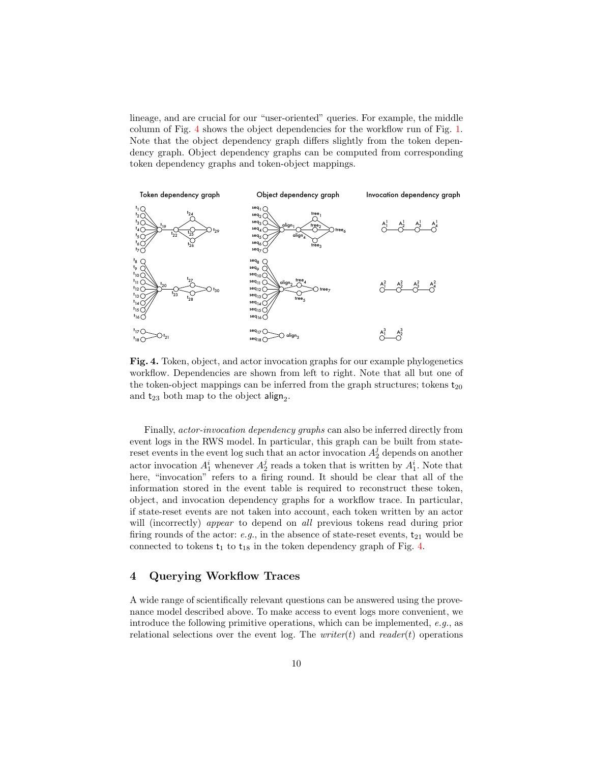lineage, and are crucial for our "user-oriented" queries. For example, the middle column of Fig. [4](#page-11-1) shows the object dependencies for the workflow run of Fig. [1.](#page-3-0) Note that the object dependency graph differs slightly from the token dependency graph. Object dependency graphs can be computed from corresponding token dependency graphs and token-object mappings.



<span id="page-11-1"></span>Fig. 4. Token, object, and actor invocation graphs for our example phylogenetics workflow. Dependencies are shown from left to right. Note that all but one of the token-object mappings can be inferred from the graph structures; tokens  $t_{20}$ and  $t_{23}$  both map to the object  $\text{align}_2$ .

Finally, actor-invocation dependency graphs can also be inferred directly from event logs in the RWS model. In particular, this graph can be built from statereset events in the event log such that an actor invocation  $A_2^j$  depends on another actor invocation  $A_1^i$  whenever  $A_2^j$  reads a token that is written by  $A_1^i$ . Note that here, "invocation" refers to a firing round. It should be clear that all of the information stored in the event table is required to reconstruct these token, object, and invocation dependency graphs for a workflow trace. In particular, if state-reset events are not taken into account, each token written by an actor will (incorrectly) *appear* to depend on *all* previous tokens read during prior firing rounds of the actor: e.g., in the absence of state-reset events,  $t_{21}$  would be connected to tokens  $t_1$  to  $t_{18}$  in the token dependency graph of Fig. [4.](#page-11-1)

#### <span id="page-11-0"></span>4 Querying Workflow Traces

A wide range of scientifically relevant questions can be answered using the provenance model described above. To make access to event logs more convenient, we introduce the following primitive operations, which can be implemented, e.g., as relational selections over the event log. The  $writer(t)$  and  $reader(t)$  operations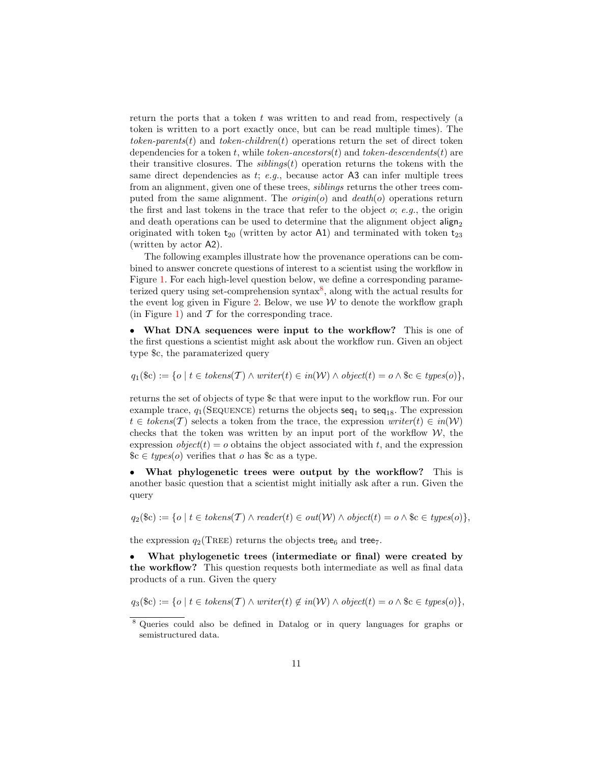return the ports that a token  $t$  was written to and read from, respectively (a token is written to a port exactly once, but can be read multiple times). The token-parents(t) and token-children(t) operations return the set of direct token dependencies for a token t, while token-ancestors(t) and token-descendents(t) are their transitive closures. The  $sibling(s(t))$  operation returns the tokens with the same direct dependencies as  $t$ ; e.g., because actor A3 can infer multiple trees from an alignment, given one of these trees, siblings returns the other trees computed from the same alignment. The  $origin(o)$  and  $death(o)$  operations return the first and last tokens in the trace that refer to the object  $o$ ; e.g., the origin and death operations can be used to determine that the alignment object  $\alpha$ lign<sub>2</sub> originated with token  $t_{20}$  (written by actor A1) and terminated with token  $t_{23}$ (written by actor A2).

The following examples illustrate how the provenance operations can be combined to answer concrete questions of interest to a scientist using the workflow in Figure [1.](#page-3-0) For each high-level question below, we define a corresponding parame-terized query using set-comprehension syntax<sup>[8](#page-12-0)</sup>, along with the actual results for the event log given in Figure [2.](#page-8-0) Below, we use  $W$  to denote the workflow graph (in Figure [1\)](#page-3-0) and  $\mathcal T$  for the corresponding trace.

• What DNA sequences were input to the workflow? This is one of the first questions a scientist might ask about the workflow run. Given an object type \$c, the paramaterized query

$$
q_1(\$c) := \{o \mid t \in tokens(\mathcal{T}) \land writer(t) \in in(\mathcal{W}) \land object(t) = o \land \$c \in types(o)\},
$$

returns the set of objects of type \$c that were input to the workflow run. For our example trace,  $q_1$ (SEQUENCE) returns the objects  $seq_1$  to  $seq_{18}$ . The expression  $t \in tokens(T)$  selects a token from the trace, the expression  $writer(t) \in in(W)$ checks that the token was written by an input port of the workflow  $W$ , the expression  $object(t) = o$  obtains the object associated with t, and the expression  $c \in types(o)$  verifies that o has  $c$  as a type.

What phylogenetic trees were output by the workflow? This is another basic question that a scientist might initially ask after a run. Given the query

$$
q_2(\mathcal{E}) := \{ o \mid t \in tokens(\mathcal{T}) \land reader(t) \in out(\mathcal{W}) \land object(t) = o \land \mathcal{E} \in types(o) \},
$$

the expression  $q_2$ (TREE) returns the objects tree<sub>6</sub> and tree<sub>7</sub>.

• What phylogenetic trees (intermediate or final) were created by the workflow? This question requests both intermediate as well as final data products of a run. Given the query

$$
q_3(\$c) := \{o \mid t \in tokens(\mathcal{T}) \land writer(t) \notin in(\mathcal{W}) \land object(t) = o \land \$c \in types(o)\},
$$

<span id="page-12-0"></span><sup>8</sup> Queries could also be defined in Datalog or in query languages for graphs or semistructured data.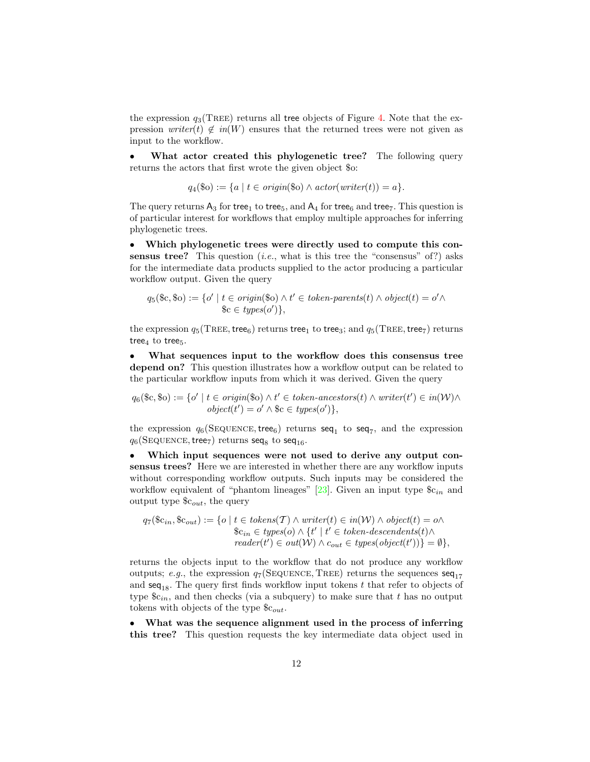the expression  $q_3$ (TREE) returns all tree objects of Figure [4.](#page-11-1) Note that the expression writer(t)  $\notin in(W)$  ensures that the returned trees were not given as input to the workflow.

What actor created this phylogenetic tree? The following query returns the actors that first wrote the given object \$o:

 $q_4(\text{$6$}) := \{a \mid t \in origin(\text{$6$}) \land actor(writer(t)) = a\}.$ 

The query returns  $A_3$  for tree<sub>1</sub> to tree<sub>5</sub>, and  $A_4$  for tree<sub>6</sub> and tree<sub>7</sub>. This question is of particular interest for workflows that employ multiple approaches for inferring phylogenetic trees.

• Which phylogenetic trees were directly used to compute this consensus tree? This question (*i.e.*, what is this tree the "consensus" of?) asks for the intermediate data products supplied to the actor producing a particular workflow output. Given the query

 $q_5(\$c, \$o) := \{o' \mid t \in origin(\$o) \land t' \in token\text{-}parents(t) \land object(t) = o' \land$  $\c \in \mathit{types}(o')\},\$ 

the expression  $q_5$ (TREE, tree<sub>6</sub>) returns tree<sub>1</sub> to tree<sub>3</sub>; and  $q_5$ (TREE, tree<sub>7</sub>) returns tree<sub>4</sub> to tree<sub>5</sub>.

• What sequences input to the workflow does this consensus tree depend on? This question illustrates how a workflow output can be related to the particular workflow inputs from which it was derived. Given the query

$$
q_6(\$c, \$o) := \{o' \mid t \in origin(\$o) \land t' \in token\text{-}ancestors(t) \land writer(t') \in in(W) \land \text{object}(t') = o' \land \$c \in types(o')\},
$$

the expression  $q_6$ (SEQUENCE, tree<sub>6</sub>) returns  $seq_1$  to  $seq_7$ , and the expression  $q_6(\text{SeQUENCE}, \text{tree}_7) \text{ returns } \textsf{seq}_8 \text{ to } \textsf{seq}_{16}.$ 

• Which input sequences were not used to derive any output consensus trees? Here we are interested in whether there are any workflow inputs without corresponding workflow outputs. Such inputs may be considered the workflow equivalent of "phantom lineages" [\[23\]](#page-16-2). Given an input type  $c_{in}$  and output type  $c_{out}$ , the query

$$
q_7(\mathcal{E}c_{in}, \mathcal{E}c_{out}) := \{o \mid t \in tokens(\mathcal{T}) \land writer(t) \in in(\mathcal{W}) \land object(t) = o \land \newline \mathcal{E}c_{in} \in types(o) \land \{t' \mid t' \in token-descendents(t) \land \newline reader(t') \in out(\mathcal{W}) \land c_{out} \in types(object(t'))\} = \emptyset\},
$$

returns the objects input to the workflow that do not produce any workflow outputs; e.g., the expression  $q_7$ (SEQUENCE, TREE) returns the sequences  $seq_{17}$ and  $seq_{18}$ . The query first finds workflow input tokens t that refer to objects of type  $c_{in}$ , and then checks (via a subquery) to make sure that t has no output tokens with objects of the type  $c_{out}$ .

• What was the sequence alignment used in the process of inferring this tree? This question requests the key intermediate data object used in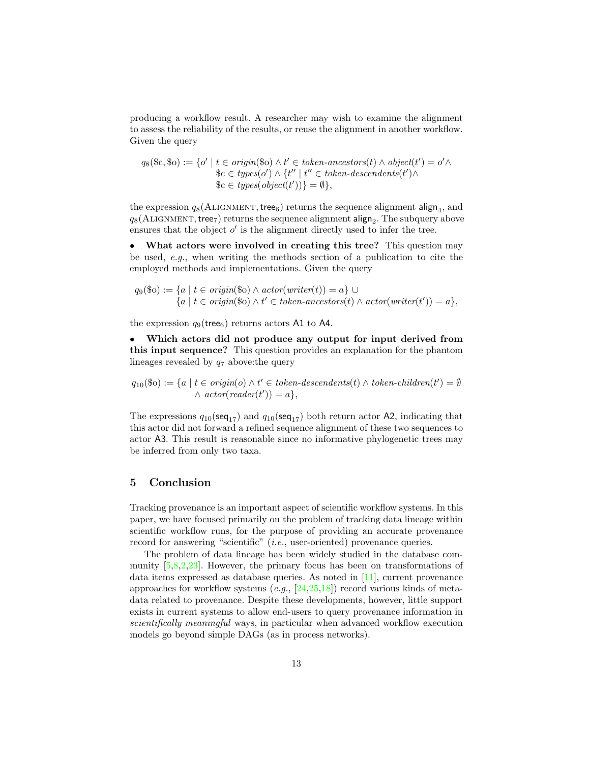producing a workflow result. A researcher may wish to examine the alignment to assess the reliability of the results, or reuse the alignment in another workflow. Given the query

$$
q_8(\$c, \$o) := \{o' \mid t \in origin(\$o) \land t' \in token-ancestors(t) \land object(t') = o' \land
$$
  
\n
$$
\$c \in types(o') \land \{t'' \mid t'' \in token-descendents(t') \land
$$
  
\n
$$
\$c \in types(object(t'))\} = \emptyset\},
$$

the expression  $q_8$ (ALIGNMENT, tree<sub>6</sub>) returns the sequence alignment  $\text{align}_4$ , and  $q_8$ (ALIGNMENT, tree<sub>7</sub>) returns the sequence alignment align<sub>2</sub>. The subquery above ensures that the object  $o'$  is the alignment directly used to infer the tree.

• What actors were involved in creating this tree? This question may be used, e.g., when writing the methods section of a publication to cite the employed methods and implementations. Given the query

$$
q_9(\$o) := \{a \mid t \in origin(\$o) \land actor(writer(t)) = a\} \cup \{a \mid t \in origin(\$o) \land t' \in token-ancestors(t) \land actor(writer(t')) = a\},\
$$

the expression  $q_9$ (tree<sub>6</sub>) returns actors A1 to A4.

• Which actors did not produce any output for input derived from this input sequence? This question provides an explanation for the phantom lineages revealed by  $q_7$  above: the query

 $q_{10}(\text{§o}) := \{a \mid t \in origin(o) \land t' \in token\text{-}descendants(t) \land token\text{-}children(t') = \emptyset\}$  $\wedge$  actor(reader(t')) = a},

The expressions  $q_{10}$ (seq<sub>17</sub>) and  $q_{10}$ (seq<sub>17</sub>) both return actor A2, indicating that this actor did not forward a refined sequence alignment of these two sequences to actor A3. This result is reasonable since no informative phylogenetic trees may be inferred from only two taxa.

#### <span id="page-14-0"></span>5 Conclusion

Tracking provenance is an important aspect of scientific workflow systems. In this paper, we have focused primarily on the problem of tracking data lineage within scientific workflow runs, for the purpose of providing an accurate provenance record for answering "scientific" *(i.e.*, user-oriented) provenance queries.

The problem of data lineage has been widely studied in the database community [\[5](#page-15-3)[,8](#page-15-7)[,2,](#page-15-8)[23\]](#page-16-2). However, the primary focus has been on transformations of data items expressed as database queries. As noted in [\[11\]](#page-15-9), current provenance approaches for workflow systems  $(e,q, [24,25,18])$  $(e,q, [24,25,18])$  $(e,q, [24,25,18])$  $(e,q, [24,25,18])$  $(e,q, [24,25,18])$  record various kinds of metadata related to provenance. Despite these developments, however, little support exists in current systems to allow end-users to query provenance information in scientifically meaningful ways, in particular when advanced workflow execution models go beyond simple DAGs (as in process networks).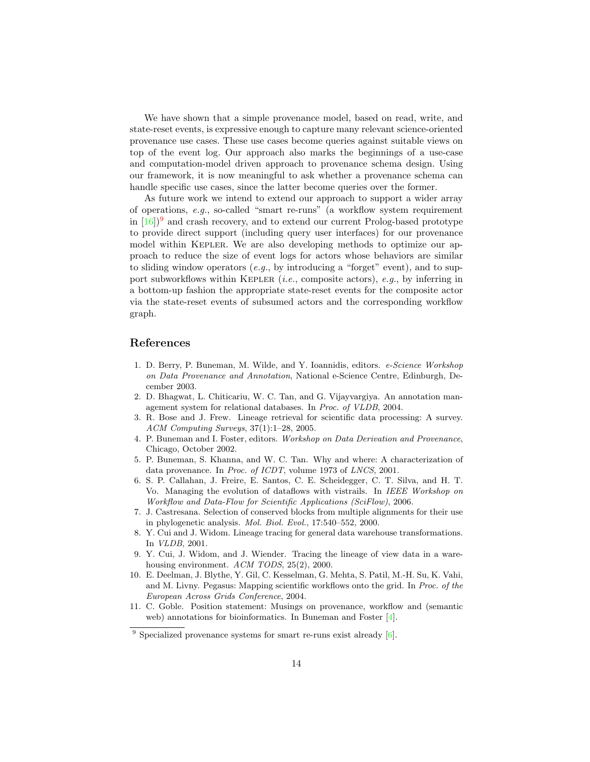We have shown that a simple provenance model, based on read, write, and state-reset events, is expressive enough to capture many relevant science-oriented provenance use cases. These use cases become queries against suitable views on top of the event log. Our approach also marks the beginnings of a use-case and computation-model driven approach to provenance schema design. Using our framework, it is now meaningful to ask whether a provenance schema can handle specific use cases, since the latter become queries over the former.

As future work we intend to extend our approach to support a wider array of operations, e.g., so-called "smart re-runs" (a workflow system requirement in  $[16]$ <sup>[9](#page-15-10)</sup> and crash recovery, and to extend our current Prolog-based prototype to provide direct support (including query user interfaces) for our provenance model within Kepler. We are also developing methods to optimize our approach to reduce the size of event logs for actors whose behaviors are similar to sliding window operators  $(e.g., by introducing a "forget" event), and to sup$ port subworkflows within KEPLER *(i.e., composite actors), e.g., by inferring in* a bottom-up fashion the appropriate state-reset events for the composite actor via the state-reset events of subsumed actors and the corresponding workflow graph.

#### References

- <span id="page-15-1"></span>1. D. Berry, P. Buneman, M. Wilde, and Y. Ioannidis, editors. e-Science Workshop on Data Provenance and Annotation, National e-Science Centre, Edinburgh, December 2003.
- <span id="page-15-8"></span>2. D. Bhagwat, L. Chiticariu, W. C. Tan, and G. Vijayvargiya. An annotation management system for relational databases. In Proc. of VLDB, 2004.
- <span id="page-15-2"></span>3. R. Bose and J. Frew. Lineage retrieval for scientific data processing: A survey. ACM Computing Surveys, 37(1):1–28, 2005.
- <span id="page-15-0"></span>4. P. Buneman and I. Foster, editors. Workshop on Data Derivation and Provenance, Chicago, October 2002.
- <span id="page-15-3"></span>5. P. Buneman, S. Khanna, and W. C. Tan. Why and where: A characterization of data provenance. In Proc. of ICDT, volume 1973 of LNCS, 2001.
- <span id="page-15-11"></span>6. S. P. Callahan, J. Freire, E. Santos, C. E. Scheidegger, C. T. Silva, and H. T. Vo. Managing the evolution of dataflows with vistrails. In IEEE Workshop on Workflow and Data-Flow for Scientific Applications (SciFlow), 2006.
- <span id="page-15-5"></span>7. J. Castresana. Selection of conserved blocks from multiple alignments for their use in phylogenetic analysis. Mol. Biol. Evol., 17:540–552, 2000.
- <span id="page-15-7"></span>8. Y. Cui and J. Widom. Lineage tracing for general data warehouse transformations. In VLDB, 2001.
- <span id="page-15-4"></span>9. Y. Cui, J. Widom, and J. Wiender. Tracing the lineage of view data in a warehousing environment. ACM TODS, 25(2), 2000.
- <span id="page-15-6"></span>10. E. Deelman, J. Blythe, Y. Gil, C. Kesselman, G. Mehta, S. Patil, M.-H. Su, K. Vahi, and M. Livny. Pegasus: Mapping scientific workflows onto the grid. In Proc. of the European Across Grids Conference, 2004.
- <span id="page-15-9"></span>11. C. Goble. Position statement: Musings on provenance, workflow and (semantic web) annotations for bioinformatics. In Buneman and Foster [\[4\]](#page-15-0).

<span id="page-15-10"></span> $9$  Specialized provenance systems for smart re-runs exist already [\[6\]](#page-15-11).